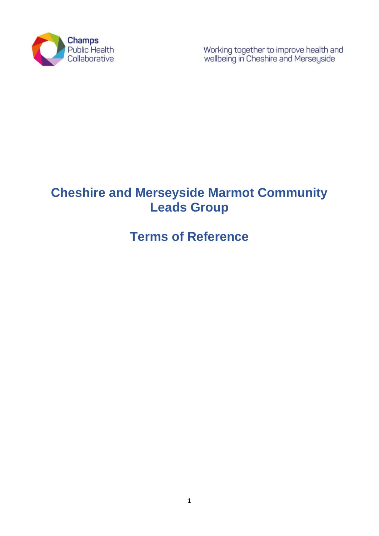

Working together to improve health and<br>wellbeing in Cheshire and Merseyside

# **Cheshire and Merseyside Marmot Community Leads Group**

# **Terms of Reference**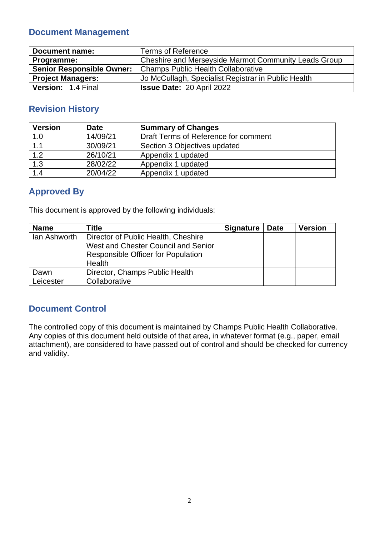## **Document Management**

| <b>Document name:</b>            | <b>Terms of Reference</b>                            |
|----------------------------------|------------------------------------------------------|
| Programme:                       | Cheshire and Merseyside Marmot Community Leads Group |
| <b>Senior Responsible Owner:</b> | <b>Champs Public Health Collaborative</b>            |
| <b>Project Managers:</b>         | Jo McCullagh, Specialist Registrar in Public Health  |
| Version: 1.4 Final               | <b>Issue Date: 20 April 2022</b>                     |

# **Revision History**

| <b>Version</b>    | <b>Date</b> | <b>Summary of Changes</b>            |  |
|-------------------|-------------|--------------------------------------|--|
| 1.0               | 14/09/21    | Draft Terms of Reference for comment |  |
| 1.1               | 30/09/21    | Section 3 Objectives updated         |  |
| 1.2               | 26/10/21    | Appendix 1 updated                   |  |
| $\overline{1}$ .3 | 28/02/22    | Appendix 1 updated                   |  |
| 1.4               | 20/04/22    | Appendix 1 updated                   |  |

# **Approved By**

This document is approved by the following individuals:

| <b>Name</b>       | Title                                                                                                                             | <b>Signature</b> | <b>Date</b> | <b>Version</b> |
|-------------------|-----------------------------------------------------------------------------------------------------------------------------------|------------------|-------------|----------------|
| lan Ashworth      | Director of Public Health, Cheshire<br>West and Chester Council and Senior<br><b>Responsible Officer for Population</b><br>Health |                  |             |                |
| Dawn<br>Leicester | Director, Champs Public Health<br>Collaborative                                                                                   |                  |             |                |

## **Document Control**

The controlled copy of this document is maintained by Champs Public Health Collaborative. Any copies of this document held outside of that area, in whatever format (e.g., paper, email attachment), are considered to have passed out of control and should be checked for currency and validity.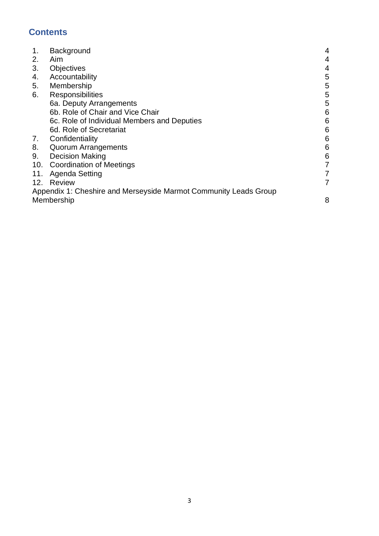# **Contents**

| 1.  | Background                                                       | 4     |
|-----|------------------------------------------------------------------|-------|
| 2.  | Aim                                                              | 4     |
| 3.  | <b>Objectives</b>                                                | 4     |
| 4.  | Accountability                                                   | 5     |
| 5.  | Membership                                                       | 5     |
| 6.  | Responsibilities                                                 | 5     |
|     | 6a. Deputy Arrangements                                          | 5     |
|     | 6b. Role of Chair and Vice Chair                                 | 6     |
|     | 6c. Role of Individual Members and Deputies                      | 6     |
|     | 6d. Role of Secretariat                                          | 6     |
| 7.  | Confidentiality                                                  | $\,6$ |
| 8.  | <b>Quorum Arrangements</b>                                       | 6     |
| 9.  | <b>Decision Making</b>                                           | $6\,$ |
|     | 10. Coordination of Meetings                                     | 7     |
| 11. | Agenda Setting                                                   | 7     |
|     | 12. Review                                                       | 7     |
|     | Appendix 1: Cheshire and Merseyside Marmot Community Leads Group |       |
|     | Membership                                                       | 8     |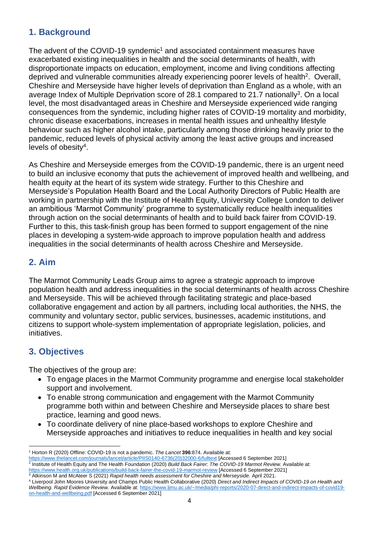## **1. Background**

The advent of the COVID-19 syndemic<sup>1</sup> and associated containment measures have exacerbated existing inequalities in health and the social determinants of health, with disproportionate impacts on education, employment, income and living conditions affecting deprived and vulnerable communities already experiencing poorer levels of health<sup>2</sup>. Overall, Cheshire and Merseyside have higher levels of deprivation than England as a whole, with an average Index of Multiple Deprivation score of 28.1 compared to 21.7 nationally<sup>3</sup>. On a local level, the most disadvantaged areas in Cheshire and Merseyside experienced wide ranging consequences from the syndemic, including higher rates of COVID-19 mortality and morbidity, chronic disease exacerbations, increases in mental health issues and unhealthy lifestyle behaviour such as higher alcohol intake, particularly among those drinking heavily prior to the pandemic, reduced levels of physical activity among the least active groups and increased levels of obesity<sup>4</sup> .

As Cheshire and Merseyside emerges from the COVID-19 pandemic, there is an urgent need to build an inclusive economy that puts the achievement of improved health and wellbeing, and health equity at the heart of its system wide strategy. Further to this Cheshire and Merseyside's Population Health Board and the Local Authority Directors of Public Health are working in partnership with the Institute of Health Equity, University College London to deliver an ambitious 'Marmot Community' programme to systematically reduce health inequalities through action on the social determinants of health and to build back fairer from COVID-19. Further to this, this task-finish group has been formed to support engagement of the nine places in developing a system-wide approach to improve population health and address inequalities in the social determinants of health across Cheshire and Merseyside.

### **2. Aim**

The Marmot Community Leads Group aims to agree a strategic approach to improve population health and address inequalities in the social determinants of health across Cheshire and Merseyside. This will be achieved through facilitating strategic and place-based collaborative engagement and action by all partners, including local authorities, the NHS, the community and voluntary sector, public services, businesses, academic institutions, and citizens to support whole-system implementation of appropriate legislation, policies, and initiatives.

## **3. Objectives**

The objectives of the group are:

- To engage places in the Marmot Community programme and energise local stakeholder support and involvement.
- To enable strong communication and engagement with the Marmot Community programme both within and between Cheshire and Merseyside places to share best practice, learning and good news.
- To coordinate delivery of nine place-based workshops to explore Cheshire and Merseyside approaches and initiatives to reduce inequalities in health and key social

<sup>1</sup> Horton R (2020) Offline: COVID-19 is not a pandemic. *The Lancet* **396**:874. Available at:

<sup>&</sup>lt;u>[https://www.thelancet.com/journals/lancet/article/PIIS0140-6736\(20\)32000-6/fulltext](https://www.thelancet.com/journals/lancet/article/PIIS0140-6736(20)32000-6/fulltext)</u> [Accessed 6 September 2021]<br><sup>2</sup> Institute of Health Equity and The Health Foundation (2020) *Build Back Fairer: The COVID-19 Marmot Revi* <https://www.health.org.uk/publications/build-back-fairer-the-covid-19-marmot-review> [Accessed 6 September 2021]

<sup>3</sup> Atkinson M and McAteer S (2021) *Rapid health needs assessment for Cheshire and Merseyside.* April 2021.

<sup>4</sup> Liverpool John Moores University and Champs Public Health Collaborative (2020) *Direct and Indirect Impacts of COVID-19 on Health and Wellbeing. Rapid Evidence Review.* Available at[: https://www.ljmu.ac.uk/~/media/phi-reports/2020-07-direct-and-indirect-impacts-of-covid19](https://www.ljmu.ac.uk/~/media/phi-reports/2020-07-direct-and-indirect-impacts-of-covid19-on-health-and-wellbeing.pdf) [on-health-and-wellbeing.pdf](https://www.ljmu.ac.uk/~/media/phi-reports/2020-07-direct-and-indirect-impacts-of-covid19-on-health-and-wellbeing.pdf) [Accessed 6 September 2021]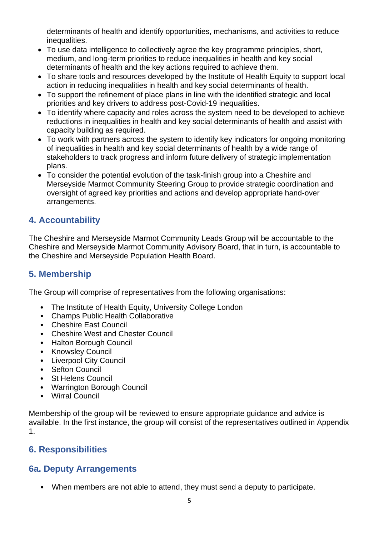determinants of health and identify opportunities, mechanisms, and activities to reduce inequalities.

- To use data intelligence to collectively agree the key programme principles, short, medium, and long-term priorities to reduce inequalities in health and key social determinants of health and the key actions required to achieve them.
- To share tools and resources developed by the Institute of Health Equity to support local action in reducing inequalities in health and key social determinants of health.
- To support the refinement of place plans in line with the identified strategic and local priorities and key drivers to address post-Covid-19 inequalities.
- To identify where capacity and roles across the system need to be developed to achieve reductions in inequalities in health and key social determinants of health and assist with capacity building as required.
- To work with partners across the system to identify key indicators for ongoing monitoring of inequalities in health and key social determinants of health by a wide range of stakeholders to track progress and inform future delivery of strategic implementation plans.
- To consider the potential evolution of the task-finish group into a Cheshire and Merseyside Marmot Community Steering Group to provide strategic coordination and oversight of agreed key priorities and actions and develop appropriate hand-over arrangements.

## **4. Accountability**

The Cheshire and Merseyside Marmot Community Leads Group will be accountable to the Cheshire and Merseyside Marmot Community Advisory Board, that in turn, is accountable to the Cheshire and Merseyside Population Health Board.

### **5. Membership**

The Group will comprise of representatives from the following organisations:

- The Institute of Health Equity, University College London
- Champs Public Health Collaborative
- Cheshire East Council
- Cheshire West and Chester Council
- Halton Borough Council
- Knowsley Council
- Liverpool City Council
- Sefton Council
- St Helens Council
- Warrington Borough Council
- Wirral Council

Membership of the group will be reviewed to ensure appropriate guidance and advice is available. In the first instance, the group will consist of the representatives outlined in Appendix 1.

## **6. Responsibilities**

### **6a. Deputy Arrangements**

• When members are not able to attend, they must send a deputy to participate.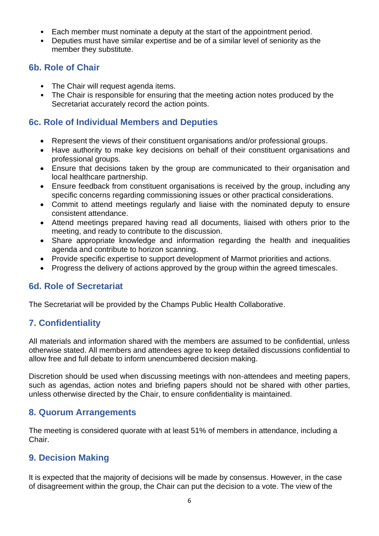- Each member must nominate a deputy at the start of the appointment period.
- Deputies must have similar expertise and be of a similar level of seniority as the member they substitute.

#### **6b. Role of Chair**

- The Chair will request agenda items.
- The Chair is responsible for ensuring that the meeting action notes produced by the Secretariat accurately record the action points.

#### **6c. Role of Individual Members and Deputies**

- Represent the views of their constituent organisations and/or professional groups.
- Have authority to make key decisions on behalf of their constituent organisations and professional groups.
- Ensure that decisions taken by the group are communicated to their organisation and local healthcare partnership.
- Ensure feedback from constituent organisations is received by the group, including any specific concerns regarding commissioning issues or other practical considerations.
- Commit to attend meetings regularly and liaise with the nominated deputy to ensure consistent attendance.
- Attend meetings prepared having read all documents, liaised with others prior to the meeting, and ready to contribute to the discussion.
- Share appropriate knowledge and information regarding the health and inequalities agenda and contribute to horizon scanning.
- Provide specific expertise to support development of Marmot priorities and actions.
- Progress the delivery of actions approved by the group within the agreed timescales.

#### **6d. Role of Secretariat**

The Secretariat will be provided by the Champs Public Health Collaborative.

### **7. Confidentiality**

All materials and information shared with the members are assumed to be confidential, unless otherwise stated. All members and attendees agree to keep detailed discussions confidential to allow free and full debate to inform unencumbered decision making.

Discretion should be used when discussing meetings with non-attendees and meeting papers, such as agendas, action notes and briefing papers should not be shared with other parties, unless otherwise directed by the Chair, to ensure confidentiality is maintained.

#### **8. Quorum Arrangements**

The meeting is considered quorate with at least 51% of members in attendance, including a Chair.

### **9. Decision Making**

It is expected that the majority of decisions will be made by consensus. However, in the case of disagreement within the group, the Chair can put the decision to a vote. The view of the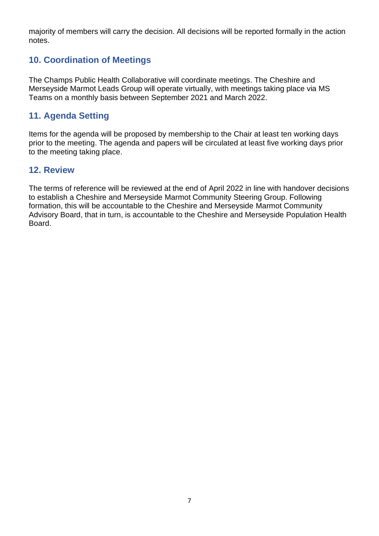majority of members will carry the decision. All decisions will be reported formally in the action notes.

## **10. Coordination of Meetings**

The Champs Public Health Collaborative will coordinate meetings. The Cheshire and Merseyside Marmot Leads Group will operate virtually, with meetings taking place via MS Teams on a monthly basis between September 2021 and March 2022.

## **11. Agenda Setting**

Items for the agenda will be proposed by membership to the Chair at least ten working days prior to the meeting. The agenda and papers will be circulated at least five working days prior to the meeting taking place.

#### **12. Review**

The terms of reference will be reviewed at the end of April 2022 in line with handover decisions to establish a Cheshire and Merseyside Marmot Community Steering Group. Following formation, this will be accountable to the Cheshire and Merseyside Marmot Community Advisory Board, that in turn, is accountable to the Cheshire and Merseyside Population Health Board.